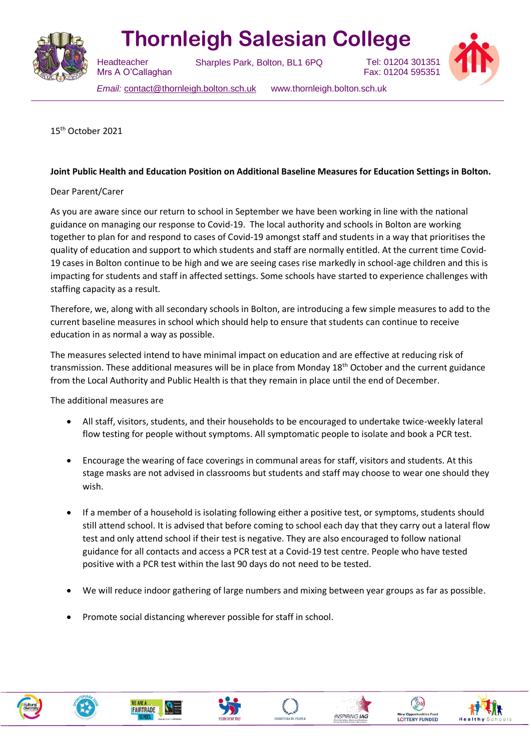

## **Thornleigh Salesian College**

 Mrs A O'Callaghan

Sharples Park, Bolton, BL1 6PQ



Tel: 01204 301351 Fax: 01204 595351

*Email:* [contact@thornleigh.bolton.sch.uk](mailto:contact@thornleigh.bolton.sch.uk) www.thornleigh.bolton.sch.uk

15th October 2021

**Headteacher** 

## **Joint Public Health and Education Position on Additional Baseline Measures for Education Settings in Bolton.**

## Dear Parent/Carer

As you are aware since our return to school in September we have been working in line with the national guidance on managing our response to Covid-19. The local authority and schools in Bolton are working together to plan for and respond to cases of Covid-19 amongst staff and students in a way that prioritises the quality of education and support to which students and staff are normally entitled. At the current time Covid-19 cases in Bolton continue to be high and we are seeing cases rise markedly in school-age children and this is impacting for students and staff in affected settings. Some schools have started to experience challenges with staffing capacity as a result.

Therefore, we, along with all secondary schools in Bolton, are introducing a few simple measures to add to the current baseline measures in school which should help to ensure that students can continue to receive education in as normal a way as possible.

The measures selected intend to have minimal impact on education and are effective at reducing risk of transmission. These additional measures will be in place from Monday 18<sup>th</sup> October and the current guidance from the Local Authority and Public Health is that they remain in place until the end of December.

The additional measures are

- All staff, visitors, students, and their households to be encouraged to undertake twice-weekly lateral flow testing for people without symptoms. All symptomatic people to isolate and book a PCR test.
- Encourage the wearing of face coverings in communal areas for staff, visitors and students. At this stage masks are not advised in classrooms but students and staff may choose to wear one should they wish.
- If a member of a household is isolating following either a positive test, or symptoms, students should still attend school. It is advised that before coming to school each day that they carry out a lateral flow test and only attend school if their test is negative. They are also encouraged to follow national guidance for all contacts and access a PCR test at a Covid-19 test centre. People who have tested positive with a PCR test within the last 90 days do not need to be tested.
- We will reduce indoor gathering of large numbers and mixing between year groups as far as possible.
- Promote social distancing wherever possible for staff in school.